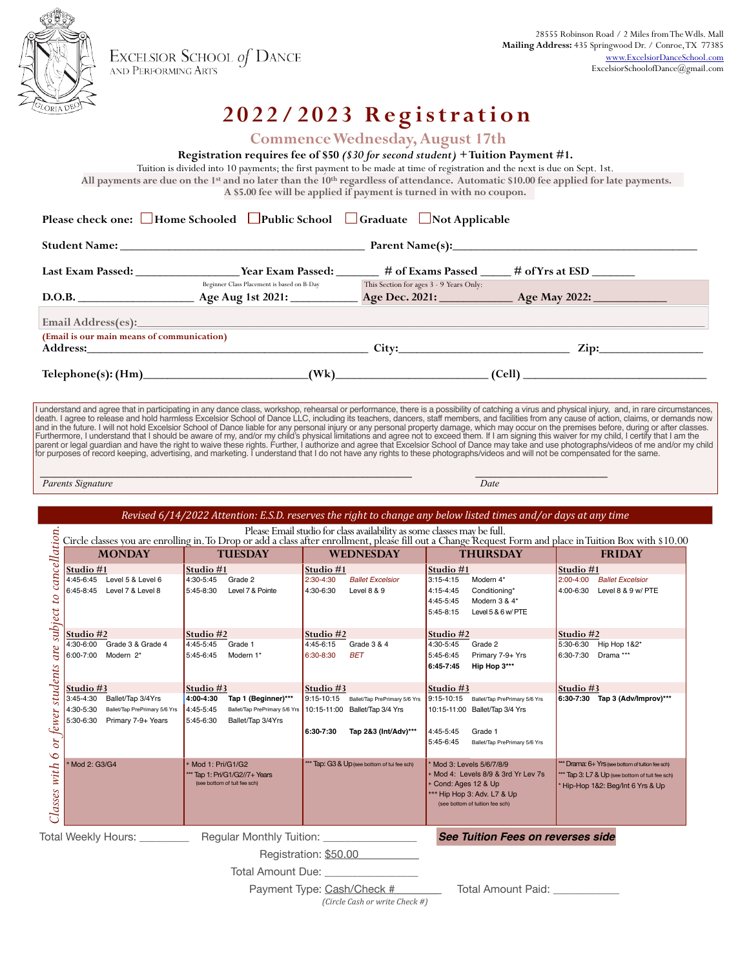

EXCELSIOR SCHOOL of DANCE<br>AND PERFORMING ARTS

## **2022/2023 Registration**

**Commence Wednesday, August 17th**

**Registration requires fee of \$50** *(\$30 for second student)* **+ Tuition Payment #1.** Tuition is divided into 10 payments; the first payment to be made at time of registration and the next is due on Sept. 1st.  **All payments are due on the 1st and no later than the 10th regardless of attendance. Automatic \$10.00 fee applied for late payments. A \$5.00 fee will be applied if payment is turned in with no coupon. Please check one:** Home Schooled Public School Graduate Not Applicable **Student Name: \_\_\_\_\_\_\_\_\_\_\_\_\_\_\_\_\_\_\_\_\_\_\_\_\_\_\_\_\_\_\_\_\_\_\_\_\_\_\_\_ Parent Name(s):\_\_\_\_\_\_\_\_\_\_\_\_\_\_\_\_\_\_\_\_\_\_\_\_\_\_\_\_\_\_\_\_\_\_\_\_\_\_\_\_ Last Exam Passed: \_\_\_\_\_\_\_\_\_\_\_\_\_\_\_\_\_ Year Exam Passed: \_\_\_\_\_\_\_ # of Exams Passed \_\_\_\_\_ # of Yrs at ESD \_\_\_\_\_\_\_** Beginner Class Placement is based on B-Day This Section for ages 3 - 9 Years Only: **D.O.B. \_\_\_\_\_\_\_\_\_\_\_\_\_\_\_\_\_\_\_ Age Aug 1st 2021: \_\_\_\_\_\_\_\_\_\_\_ Age Dec. 2021: \_\_\_\_\_\_\_\_\_\_\_\_ Age May 2022: \_\_\_\_\_\_\_\_\_\_\_\_ Email Address(es):\_ (Email is our main means of communication) Address:\_\_\_\_\_\_\_\_\_\_\_\_\_\_\_\_\_\_\_\_\_\_\_\_\_\_\_\_\_\_\_\_\_\_\_\_\_\_\_\_\_\_\_\_\_\_ City:\_\_\_\_\_\_\_\_\_\_\_\_\_\_\_\_\_\_\_\_\_\_\_\_\_\_\_\_ Zip:\_\_\_\_\_\_\_\_\_\_\_\_\_\_\_\_\_ Telephone(s): (Hm)\_\_\_\_\_\_\_\_\_\_\_\_\_\_\_\_\_\_\_\_\_\_\_\_\_\_\_(Wk)\_\_\_\_\_\_\_\_\_\_\_\_\_\_\_\_\_\_\_\_\_\_\_\_\_ (Cell) \_\_\_\_\_\_\_\_\_\_\_\_\_\_\_\_\_\_\_\_\_\_\_\_\_\_\_\_\_\_** 28555 Robinson Road / 2 Miles from The Wdls. Mall<br>Mailing Address: *Address*: *Address: Address: Address*<br>Address: *Address: Address: Orgens, Car*ns, *Orgenside*<br>Chomay occur on the pregnals? Address: Orgens Carnapals&ale I (Interstand and hagree that in participating in any dance class, workshop, rehearsal or performance, there is a possibility of capital and weared they have the same of each or details and accelerate the same of demands n  **\_\_\_\_\_\_\_\_\_\_\_\_\_\_\_\_\_\_\_\_\_\_\_\_\_\_\_\_\_\_\_\_\_\_\_\_\_\_\_\_\_\_\_\_\_\_\_\_\_\_\_\_\_\_\_\_\_\_\_\_\_\_\_\_\_\_\_\_\_\_\_\_\_\_\_\_ \_\_\_\_\_\_\_\_\_\_\_\_\_\_\_\_\_\_\_\_\_\_\_\_\_\_\_** *Parents Signature* 2022/2023 CLASS SCHEDULE *Revised 6/14/2022 Attention: E.S.D. reserves the right to change any below listed times and/or days at any time* s availability as some classes may be full. *Classes with 6 or fewer students are subject to cancellation.***Grade 1 - Level 9 Ballet Placement is by Exam/Evaluation** Classes with 6 or fewer students are subject to cancellation Grade 1 - Level 9 Ballet Placement is by Exam/Evaluation savailability as some classes may be full.<br>
hent, please fill out a Change Request Form and place in Tuition Box with \$10.00 **MONDAY TUESDAY WEDNESDAY THURSDAY FRIDAY Studio #1 Studio #1 Studio #1 Studio #1 Studio #1** 4:45-6:45 Level 5 & Level 6 4:30-5:45 Grade 2 2:30-4:30 *Ballet Excelsior* 3:15-4:15 Modern 4\* 2:00-4:00 *Ballet Excelsior*  $\begin{array}{ccc} \text{a} \text{ odd} & 8 & 8 & 9 \end{array}$   $\begin{array}{ccc} 4.15-4.45 & \text{Conditioning}^* & 4.00-6:30 & \text{level } 8 & 8 & 9 \end{array}$ 4:45-5:45 Modern 3 & 4\* 5:45-8:15 Level 5 & 6 w/ PTE **Studio #2 Studio #2 Studio #2 Studio #2 Studio #2** 4:30-5:45 Grade 3 & Grade 3 & 4  $4.30$ -5:45  $-$  5:30-6:30  $-$  5:30-6:30  $-$  Hip Hop 1&2\* و 5:30-6:30 Hip Hop 1&2\* و 5:30-6:30  $-$  5:30-6:30  $-$  5:30-6:30  $-$  5:30-6:30  $-$  5:30-6:30  $-$  5:30-6:30  $-$  5:30-6:30  $-$  5:30-6: 8ET 5:45-6:45 Primary 7-9+ Yrs 6:30-7:30 Drama \*\*\* **6:45-7:45 Hip Hop 3\*\*\* Studio #3 Studio #3 Studio #3 Studio #3 Studio #3** 3:45-4:30 Ballet/Tap 3/4Yrs **4:00-4:30 Tap 1 (Beginner)\*\*\*** 9:15-10:15 Ballet/Tap PrePrimary 5/6 Yrs 9:15-10:15 Ballet/Tap PrePrimary 5/6 Yrs **6:30-7:30 Tap 3 (Adv/Improv)\*\*\***  $B$ allet/Tap 3/4 Yrs  $\vert$  10:15-11:00 Ballet/Tap 3/4 Yrs **6:30-7:30 Tap 2&3 (Int/Adv)\*\*\*** 4:45-5:45 Grade 1 5:45-6:45 Ballet/Tap PrePrimary 5/6 Yrs (see bottom of tui fee sch)  $*$  Mod 3: Levels 5/6/7/8/9 \* Drama: 6+ Yrs (see bottom of tuition fee sch) \* Tap 3: L7 & Up (see bottom of tuit fee sch) Mod 4: Levels 8/9 & 3rd Yr Lev 7s \* Cond: Ages 12 & Up \* Hip-Hop 1&2: Beg/Int 6 Yrs & Up \*\* Hip Hop 3: Adv. L7 & Up (see bottom of tuition fee sch) Total Weekly Hours: **Example 2 Regular Monthly Tuition: See Tuition Fees on reverses side** Registration: \$50.00\_\_\_\_

Total Amount Due:

Payment Type: Cash/Check #\_\_\_\_\_\_\_\_\_\_ Total Amount Paid: \_\_\_\_\_\_\_\_\_ *(Circle Cash or write Check #)*